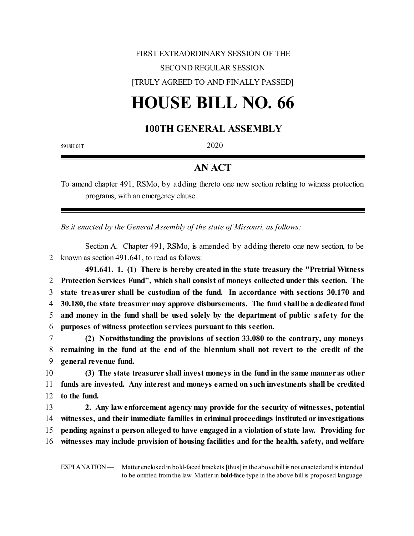## FIRST EXTRAORDINARY SESSION OF THE SECOND REGULAR SESSION [TRULY AGREED TO AND FINALLY PASSED]

## **HOUSE BILL NO. 66**

## **100TH GENERAL ASSEMBLY**

5918H.01T 2020

## **AN ACT**

To amend chapter 491, RSMo, by adding thereto one new section relating to witness protection programs, with an emergency clause.

*Be it enacted by the General Assembly of the state of Missouri, as follows:*

Section A. Chapter 491, RSMo, is amended by adding thereto one new section, to be 2 known as section 491.641, to read as follows:

**491.641. 1. (1) There is hereby created in the state treasury the "Pretrial Witness Protection Services Fund", which shall consist of moneys collected under this section. The state treasurer shall be custodian of the fund. In accordance with sections 30.170 and 30.180, the state treasurer may approve disbursements. The fund shall be a dedicatedfund and money in the fund shall be used solely by the department of public safe ty for the purposes of witness protection services pursuant to this section.**

7 **(2) Notwithstanding the provisions of section 33.080 to the contrary, any moneys** 8 **remaining in the fund at the end of the biennium shall not revert to the credit of the** 9 **general revenue fund.**

10 **(3) The state treasurer shall invest moneys in the fund in the same manneras other** 11 **funds are invested. Any interest and moneys earned on such investments shall be credited** 12 **to the fund.**

 **2. Any law enforcement agency may provide for the security of witnesses, potential witnesses, and their immediate families in criminal proceedings instituted or investigations pending against a person alleged to have engaged in a violation of state law. Providing for witnesses may include provision of housing facilities and for the health, safety, and welfare**

EXPLANATION — Matter enclosed in bold-faced brackets **[**thus**]**in the above bill is not enacted and is intended to be omitted fromthe law. Matter in **bold-face** type in the above bill is proposed language.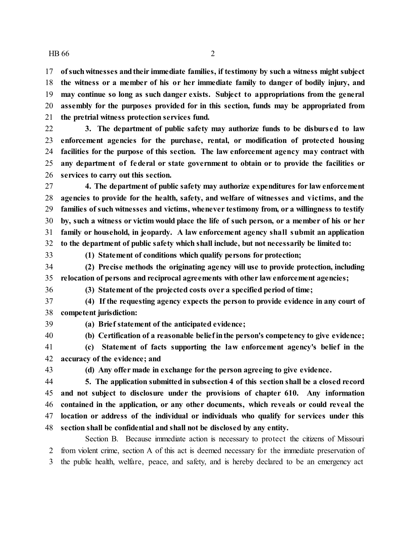$HB\ 66$  2

 **ofsuchwitnesses andtheir immediate families, if testimony by such a witness might subject the witness or a member of his or her immediate family to danger of bodily injury, and may continue so long as such danger exists. Subject to appropriations from the general assembly for the purposes provided for in this section, funds may be appropriated from the pretrial witness protection services fund.**

 **3. The department of public safety may authorize funds to be disbursed to law enforcement agencies for the purchase, rental, or modification of protected housing facilities for the purpose of this section. The law enforcement agency may contract with any department of federal or state government to obtain or to provide the facilities or services to carry out this section.**

 **4. The department of public safety may authorize expenditures for law enforcement agencies to provide for the health, safety, and welfare of witnesses and victims, and the families of such witnesses and victims, whenever testimony from, or a willingness to testify by, such a witness or victim would place the life of such person, or a member of his or her family or household, in jeopardy. A law enforcement agency shall submit an application to the department of public safety which shall include, but not necessarily be limited to:**

**(1) Statement of conditions which qualify persons for protection;**

 **(2) Precise methods the originating agency will use to provide protection, including relocation of persons and reciprocal agreements with other law enforcement agencies;**

**(3) Statement of the projected costs over a specified period of time;**

 **(4) If the requesting agency expects the person to provide evidence in any court of competent jurisdiction:**

**(a) Brief statement of the anticipated evidence;**

**(b) Certification of a reasonable beliefinthe person's competency to give evidence;**

 **(c) Statement of facts supporting the law enforcement agency's belief in the accuracy of the evidence; and**

**(d) Any offer made in exchange for the person agreeing to give evidence.**

 **5. The application submitted in subsection 4 of this section shall be a closed record and not subject to disclosure under the provisions of chapter 610. Any information contained in the application, or any other documents, which reveals or could reveal the location or address of the individual or individuals who qualify for services under this section shall be confidential and shall not be disclosed by any entity.**

Section B. Because immediate action is necessary to protect the citizens of Missouri from violent crime, section A of this act is deemed necessary for the immediate preservation of the public health, welfare, peace, and safety, and is hereby declared to be an emergency act